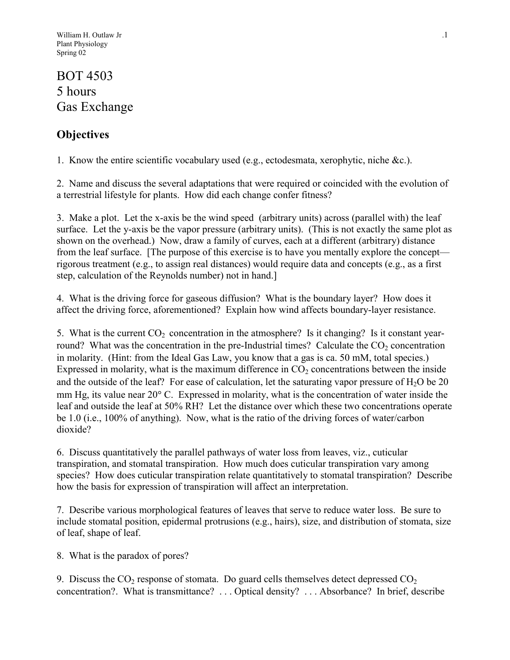# BOT 4503 5 hours Gas Exchange

## **Objectives**

1. Know the entire scientific vocabulary used (e.g., ectodesmata, xerophytic, niche &c.).

2. Name and discuss the several adaptations that were required or coincided with the evolution of a terrestrial lifestyle for plants. How did each change confer fitness?

3. Make a plot. Let the x-axis be the wind speed (arbitrary units) across (parallel with) the leaf surface. Let the y-axis be the vapor pressure (arbitrary units). (This is not exactly the same plot as shown on the overhead.) Now, draw a family of curves, each at a different (arbitrary) distance from the leaf surface. [The purpose of this exercise is to have you mentally explore the concept rigorous treatment (e.g., to assign real distances) would require data and concepts (e.g., as a first step, calculation of the Reynolds number) not in hand.]

4. What is the driving force for gaseous diffusion? What is the boundary layer? How does it affect the driving force, aforementioned? Explain how wind affects boundary-layer resistance.

5. What is the current  $CO<sub>2</sub>$  concentration in the atmosphere? Is it changing? Is it constant yearround? What was the concentration in the pre-Industrial times? Calculate the  $CO<sub>2</sub>$  concentration in molarity. (Hint: from the Ideal Gas Law, you know that a gas is ca. 50 mM, total species.) Expressed in molarity, what is the maximum difference in  $CO<sub>2</sub>$  concentrations between the inside and the outside of the leaf? For ease of calculation, let the saturating vapor pressure of  $H_2O$  be 20 mm Hg, its value near  $20^{\circ}$  C. Expressed in molarity, what is the concentration of water inside the leaf and outside the leaf at 50% RH? Let the distance over which these two concentrations operate be 1.0 (i.e., 100% of anything). Now, what is the ratio of the driving forces of water/carbon dioxide?

6. Discuss quantitatively the parallel pathways of water loss from leaves, viz., cuticular transpiration, and stomatal transpiration. How much does cuticular transpiration vary among species? How does cuticular transpiration relate quantitatively to stomatal transpiration? Describe how the basis for expression of transpiration will affect an interpretation.

7. Describe various morphological features of leaves that serve to reduce water loss. Be sure to include stomatal position, epidermal protrusions (e.g., hairs), size, and distribution of stomata, size of leaf, shape of leaf.

8. What is the paradox of pores?

9. Discuss the  $CO_2$  response of stomata. Do guard cells themselves detect depressed  $CO_2$ concentration?. What is transmittance? . . . Optical density? . . . Absorbance? In brief, describe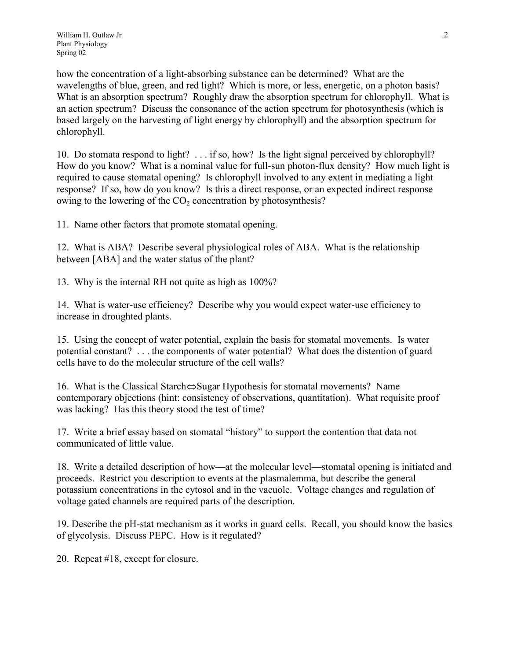how the concentration of a light-absorbing substance can be determined? What are the wavelengths of blue, green, and red light? Which is more, or less, energetic, on a photon basis? What is an absorption spectrum? Roughly draw the absorption spectrum for chlorophyll. What is an action spectrum? Discuss the consonance of the action spectrum for photosynthesis (which is based largely on the harvesting of light energy by chlorophyll) and the absorption spectrum for chlorophyll.

10. Do stomata respond to light? . . . if so, how? Is the light signal perceived by chlorophyll? How do you know? What is a nominal value for full-sun photon-flux density? How much light is required to cause stomatal opening? Is chlorophyll involved to any extent in mediating a light response? If so, how do you know? Is this a direct response, or an expected indirect response owing to the lowering of the  $CO<sub>2</sub>$  concentration by photosynthesis?

11. Name other factors that promote stomatal opening.

12. What is ABA? Describe several physiological roles of ABA. What is the relationship between [ABA] and the water status of the plant?

13. Why is the internal RH not quite as high as 100%?

14. What is water-use efficiency? Describe why you would expect water-use efficiency to increase in droughted plants.

15. Using the concept of water potential, explain the basis for stomatal movements. Is water potential constant? . . . the components of water potential? What does the distention of guard cells have to do the molecular structure of the cell walls?

16. What is the Classical Starch $\Leftrightarrow$ Sugar Hypothesis for stomatal movements? Name contemporary objections (hint: consistency of observations, quantitation). What requisite proof was lacking? Has this theory stood the test of time?

17. Write a brief essay based on stomatal "history" to support the contention that data not communicated of little value.

18. Write a detailed description of how—at the molecular level—stomatal opening is initiated and proceeds. Restrict you description to events at the plasmalemma, but describe the general potassium concentrations in the cytosol and in the vacuole. Voltage changes and regulation of voltage gated channels are required parts of the description.

19. Describe the pH-stat mechanism as it works in guard cells. Recall, you should know the basics of glycolysis. Discuss PEPC. How is it regulated?

20. Repeat #18, except for closure.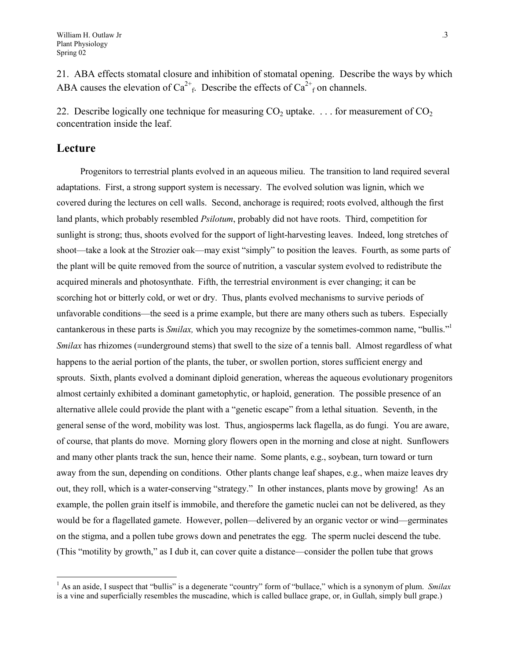21. ABA effects stomatal closure and inhibition of stomatal opening. Describe the ways by which ABA causes the elevation of  $Ca^{2+}$ <sub>f</sub>. Describe the effects of  $Ca^{2+}$ <sub>f</sub> on channels.

22. Describe logically one technique for measuring  $CO<sub>2</sub>$  uptake. . . . for measurement of  $CO<sub>2</sub>$ concentration inside the leaf.

### **Lecture**

 $\overline{a}$ 

Progenitors to terrestrial plants evolved in an aqueous milieu. The transition to land required several adaptations. First, a strong support system is necessary. The evolved solution was lignin, which we covered during the lectures on cell walls. Second, anchorage is required; roots evolved, although the first land plants, which probably resembled *Psilotum*, probably did not have roots. Third, competition for sunlight is strong; thus, shoots evolved for the support of light-harvesting leaves. Indeed, long stretches of shoot—take a look at the Strozier oak—may exist "simply" to position the leaves. Fourth, as some parts of the plant will be quite removed from the source of nutrition, a vascular system evolved to redistribute the acquired minerals and photosynthate. Fifth, the terrestrial environment is ever changing; it can be scorching hot or bitterly cold, or wet or dry. Thus, plants evolved mechanisms to survive periods of unfavorable conditions—the seed is a prime example, but there are many others such as tubers. Especially cantankerous in these parts is *Smilax*, which you may recognize by the sometimes-common name, "bullis."<sup>1</sup> *Smilax* has rhizomes (=underground stems) that swell to the size of a tennis ball. Almost regardless of what happens to the aerial portion of the plants, the tuber, or swollen portion, stores sufficient energy and sprouts. Sixth, plants evolved a dominant diploid generation, whereas the aqueous evolutionary progenitors almost certainly exhibited a dominant gametophytic, or haploid, generation. The possible presence of an alternative allele could provide the plant with a "genetic escape" from a lethal situation. Seventh, in the general sense of the word, mobility was lost. Thus, angiosperms lack flagella, as do fungi. You are aware, of course, that plants do move. Morning glory flowers open in the morning and close at night. Sunflowers and many other plants track the sun, hence their name. Some plants, e.g., soybean, turn toward or turn away from the sun, depending on conditions. Other plants change leaf shapes, e.g., when maize leaves dry out, they roll, which is a water-conserving "strategy." In other instances, plants move by growing! As an example, the pollen grain itself is immobile, and therefore the gametic nuclei can not be delivered, as they would be for a flagellated gamete. However, pollen—delivered by an organic vector or wind—germinates on the stigma, and a pollen tube grows down and penetrates the egg. The sperm nuclei descend the tube. (This "motility by growth," as I dub it, can cover quite a distance—consider the pollen tube that grows

<span id="page-2-0"></span><sup>&</sup>lt;sup>1</sup> As an aside, I suspect that "bullis" is a degenerate "country" form of "bullace," which is a synonym of plum. *Smilax* is a vine and superficially resembles the muscadine, which is called bullace grape, or, in Gullah, simply bull grape.)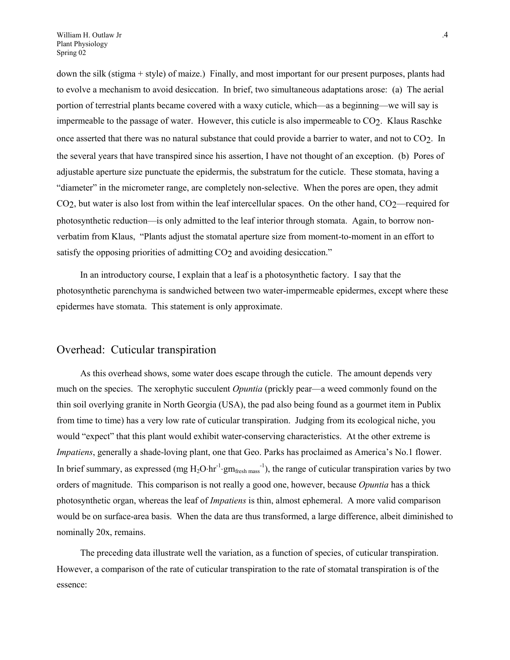down the silk (stigma + style) of maize.) Finally, and most important for our present purposes, plants had to evolve a mechanism to avoid desiccation. In brief, two simultaneous adaptations arose: (a) The aerial portion of terrestrial plants became covered with a waxy cuticle, which—as a beginning—we will say is impermeable to the passage of water. However, this cuticle is also impermeable to  $CO<sub>2</sub>$ . Klaus Raschke once asserted that there was no natural substance that could provide a barrier to water, and not to CO2. In the several years that have transpired since his assertion, I have not thought of an exception. (b) Pores of adjustable aperture size punctuate the epidermis, the substratum for the cuticle. These stomata, having a "diameter" in the micrometer range, are completely non-selective. When the pores are open, they admit CO<sub>2</sub>, but water is also lost from within the leaf intercellular spaces. On the other hand, CO<sub>2</sub>—required for photosynthetic reduction—is only admitted to the leaf interior through stomata. Again, to borrow nonverbatim from Klaus, "Plants adjust the stomatal aperture size from moment-to-moment in an effort to satisfy the opposing priorities of admitting CO<sub>2</sub> and avoiding desiccation."

In an introductory course, I explain that a leaf is a photosynthetic factory. I say that the photosynthetic parenchyma is sandwiched between two water-impermeable epidermes, except where these epidermes have stomata. This statement is only approximate.

#### Overhead: Cuticular transpiration

As this overhead shows, some water does escape through the cuticle. The amount depends very much on the species. The xerophytic succulent *Opuntia* (prickly pear—a weed commonly found on the thin soil overlying granite in North Georgia (USA), the pad also being found as a gourmet item in Publix from time to time) has a very low rate of cuticular transpiration. Judging from its ecological niche, you would "expect" that this plant would exhibit water-conserving characteristics. At the other extreme is *Impatiens*, generally a shade-loving plant, one that Geo. Parks has proclaimed as America's No.1 flower. In brief summary, as expressed (mg  $H_2O\cdot hr^{-1}\cdot gm_{\text{fresh mass}}^{-1}$ ), the range of cuticular transpiration varies by two orders of magnitude. This comparison is not really a good one, however, because *Opuntia* has a thick photosynthetic organ, whereas the leaf of *Impatiens* is thin, almost ephemeral. A more valid comparison would be on surface-area basis. When the data are thus transformed, a large difference, albeit diminished to nominally 20x, remains.

The preceding data illustrate well the variation, as a function of species, of cuticular transpiration. However, a comparison of the rate of cuticular transpiration to the rate of stomatal transpiration is of the essence: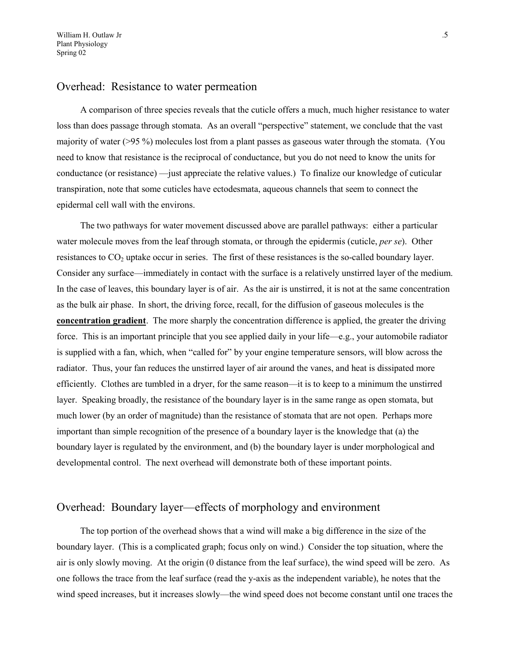### Overhead: Resistance to water permeation

A comparison of three species reveals that the cuticle offers a much, much higher resistance to water loss than does passage through stomata. As an overall "perspective" statement, we conclude that the vast majority of water (>95 %) molecules lost from a plant passes as gaseous water through the stomata. (You need to know that resistance is the reciprocal of conductance, but you do not need to know the units for conductance (or resistance) —just appreciate the relative values.) To finalize our knowledge of cuticular transpiration, note that some cuticles have ectodesmata, aqueous channels that seem to connect the epidermal cell wall with the environs.

The two pathways for water movement discussed above are parallel pathways: either a particular water molecule moves from the leaf through stomata, or through the epidermis (cuticle, *per se*). Other resistances to  $CO<sub>2</sub>$  uptake occur in series. The first of these resistances is the so-called boundary layer. Consider any surface—immediately in contact with the surface is a relatively unstirred layer of the medium. In the case of leaves, this boundary layer is of air. As the air is unstirred, it is not at the same concentration as the bulk air phase. In short, the driving force, recall, for the diffusion of gaseous molecules is the **concentration gradient**. The more sharply the concentration difference is applied, the greater the driving force. This is an important principle that you see applied daily in your life—e.g., your automobile radiator is supplied with a fan, which, when "called for" by your engine temperature sensors, will blow across the radiator. Thus, your fan reduces the unstirred layer of air around the vanes, and heat is dissipated more efficiently. Clothes are tumbled in a dryer, for the same reason—it is to keep to a minimum the unstirred layer. Speaking broadly, the resistance of the boundary layer is in the same range as open stomata, but much lower (by an order of magnitude) than the resistance of stomata that are not open. Perhaps more important than simple recognition of the presence of a boundary layer is the knowledge that (a) the boundary layer is regulated by the environment, and (b) the boundary layer is under morphological and developmental control. The next overhead will demonstrate both of these important points.

## Overhead: Boundary layer—effects of morphology and environment

The top portion of the overhead shows that a wind will make a big difference in the size of the boundary layer. (This is a complicated graph; focus only on wind.) Consider the top situation, where the air is only slowly moving. At the origin (0 distance from the leaf surface), the wind speed will be zero. As one follows the trace from the leaf surface (read the y-axis as the independent variable), he notes that the wind speed increases, but it increases slowly—the wind speed does not become constant until one traces the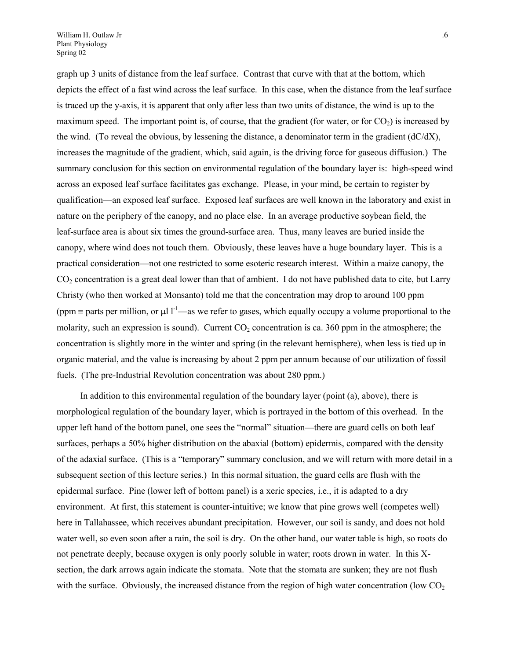graph up 3 units of distance from the leaf surface. Contrast that curve with that at the bottom, which depicts the effect of a fast wind across the leaf surface. In this case, when the distance from the leaf surface is traced up the y-axis, it is apparent that only after less than two units of distance, the wind is up to the maximum speed. The important point is, of course, that the gradient (for water, or for  $CO<sub>2</sub>$ ) is increased by the wind. (To reveal the obvious, by lessening the distance, a denominator term in the gradient  $(dC/dX)$ , increases the magnitude of the gradient, which, said again, is the driving force for gaseous diffusion.) The summary conclusion for this section on environmental regulation of the boundary layer is: high-speed wind across an exposed leaf surface facilitates gas exchange. Please, in your mind, be certain to register by qualification—an exposed leaf surface. Exposed leaf surfaces are well known in the laboratory and exist in nature on the periphery of the canopy, and no place else. In an average productive soybean field, the leaf-surface area is about six times the ground-surface area. Thus, many leaves are buried inside the canopy, where wind does not touch them. Obviously, these leaves have a huge boundary layer. This is a practical consideration—not one restricted to some esoteric research interest. Within a maize canopy, the CO2 concentration is a great deal lower than that of ambient. I do not have published data to cite, but Larry Christy (who then worked at Monsanto) told me that the concentration may drop to around 100 ppm (ppm = parts per million, or  $\mu$ l l<sup>-1</sup>—as we refer to gases, which equally occupy a volume proportional to the molarity, such an expression is sound). Current  $CO<sub>2</sub>$  concentration is ca. 360 ppm in the atmosphere; the concentration is slightly more in the winter and spring (in the relevant hemisphere), when less is tied up in organic material, and the value is increasing by about 2 ppm per annum because of our utilization of fossil fuels. (The pre-Industrial Revolution concentration was about 280 ppm.)

In addition to this environmental regulation of the boundary layer (point (a), above), there is morphological regulation of the boundary layer, which is portrayed in the bottom of this overhead. In the upper left hand of the bottom panel, one sees the "normal" situation—there are guard cells on both leaf surfaces, perhaps a 50% higher distribution on the abaxial (bottom) epidermis, compared with the density of the adaxial surface. (This is a "temporary" summary conclusion, and we will return with more detail in a subsequent section of this lecture series.) In this normal situation, the guard cells are flush with the epidermal surface. Pine (lower left of bottom panel) is a xeric species, i.e., it is adapted to a dry environment. At first, this statement is counter-intuitive; we know that pine grows well (competes well) here in Tallahassee, which receives abundant precipitation. However, our soil is sandy, and does not hold water well, so even soon after a rain, the soil is dry. On the other hand, our water table is high, so roots do not penetrate deeply, because oxygen is only poorly soluble in water; roots drown in water. In this Xsection, the dark arrows again indicate the stomata. Note that the stomata are sunken; they are not flush with the surface. Obviously, the increased distance from the region of high water concentration (low  $CO<sub>2</sub>$ )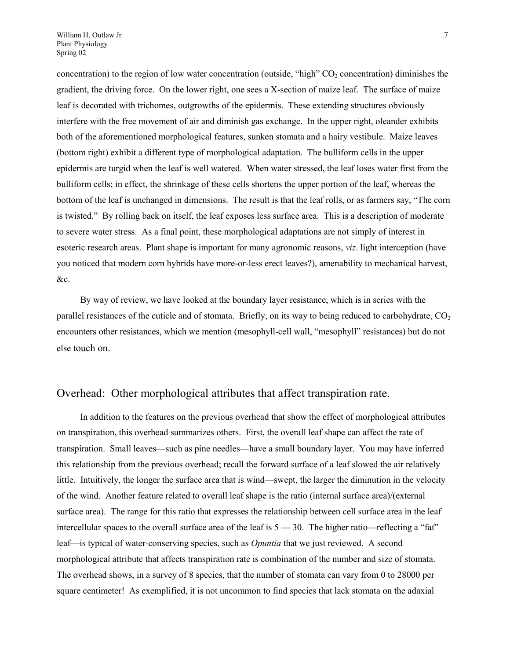concentration) to the region of low water concentration (outside, "high"  $CO<sub>2</sub>$  concentration) diminishes the gradient, the driving force. On the lower right, one sees a X-section of maize leaf. The surface of maize leaf is decorated with trichomes, outgrowths of the epidermis. These extending structures obviously interfere with the free movement of air and diminish gas exchange. In the upper right, oleander exhibits both of the aforementioned morphological features, sunken stomata and a hairy vestibule. Maize leaves (bottom right) exhibit a different type of morphological adaptation. The bulliform cells in the upper epidermis are turgid when the leaf is well watered. When water stressed, the leaf loses water first from the bulliform cells; in effect, the shrinkage of these cells shortens the upper portion of the leaf, whereas the bottom of the leaf is unchanged in dimensions. The result is that the leaf rolls, or as farmers say, "The corn is twisted." By rolling back on itself, the leaf exposes less surface area. This is a description of moderate to severe water stress. As a final point, these morphological adaptations are not simply of interest in esoteric research areas. Plant shape is important for many agronomic reasons, *viz*. light interception (have you noticed that modern corn hybrids have more-or-less erect leaves?), amenability to mechanical harvest, &c.

By way of review, we have looked at the boundary layer resistance, which is in series with the parallel resistances of the cuticle and of stomata. Briefly, on its way to being reduced to carbohydrate,  $CO<sub>2</sub>$ encounters other resistances, which we mention (mesophyll-cell wall, "mesophyll" resistances) but do not else touch on.

## Overhead: Other morphological attributes that affect transpiration rate.

In addition to the features on the previous overhead that show the effect of morphological attributes on transpiration, this overhead summarizes others. First, the overall leaf shape can affect the rate of transpiration. Small leaves—such as pine needles—have a small boundary layer. You may have inferred this relationship from the previous overhead; recall the forward surface of a leaf slowed the air relatively little. Intuitively, the longer the surface area that is wind—swept, the larger the diminution in the velocity of the wind. Another feature related to overall leaf shape is the ratio (internal surface area)/(external surface area). The range for this ratio that expresses the relationship between cell surface area in the leaf intercellular spaces to the overall surface area of the leaf is 5 — 30. The higher ratio—reflecting a "fat" leaf—is typical of water-conserving species, such as *Opuntia* that we just reviewed. A second morphological attribute that affects transpiration rate is combination of the number and size of stomata. The overhead shows, in a survey of 8 species, that the number of stomata can vary from 0 to 28000 per square centimeter! As exemplified, it is not uncommon to find species that lack stomata on the adaxial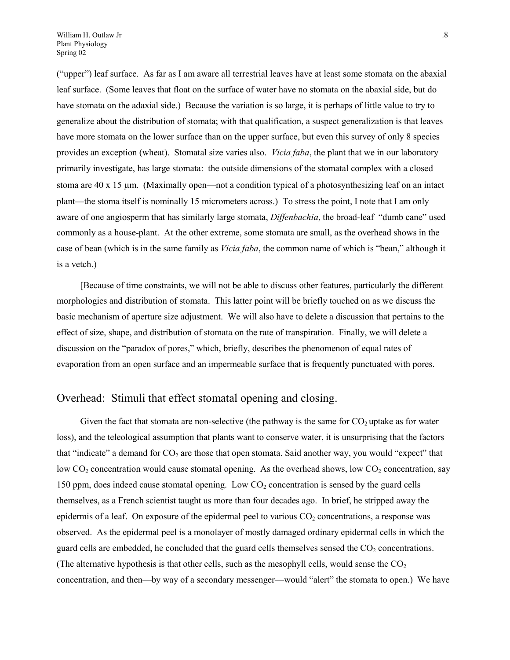("upper") leaf surface. As far as I am aware all terrestrial leaves have at least some stomata on the abaxial leaf surface. (Some leaves that float on the surface of water have no stomata on the abaxial side, but do have stomata on the adaxial side.) Because the variation is so large, it is perhaps of little value to try to generalize about the distribution of stomata; with that qualification, a suspect generalization is that leaves have more stomata on the lower surface than on the upper surface, but even this survey of only 8 species provides an exception (wheat). Stomatal size varies also. *Vicia faba*, the plant that we in our laboratory primarily investigate, has large stomata: the outside dimensions of the stomatal complex with a closed stoma are  $40 \times 15$  µm. (Maximally open—not a condition typical of a photosynthesizing leaf on an intact plant—the stoma itself is nominally 15 micrometers across.) To stress the point, I note that I am only aware of one angiosperm that has similarly large stomata, *Diffenbachia*, the broad-leaf "dumb cane" used commonly as a house-plant. At the other extreme, some stomata are small, as the overhead shows in the case of bean (which is in the same family as *Vicia faba*, the common name of which is "bean," although it is a vetch.)

[Because of time constraints, we will not be able to discuss other features, particularly the different morphologies and distribution of stomata. This latter point will be briefly touched on as we discuss the basic mechanism of aperture size adjustment. We will also have to delete a discussion that pertains to the effect of size, shape, and distribution of stomata on the rate of transpiration. Finally, we will delete a discussion on the "paradox of pores," which, briefly, describes the phenomenon of equal rates of evaporation from an open surface and an impermeable surface that is frequently punctuated with pores.

## Overhead: Stimuli that effect stomatal opening and closing.

Given the fact that stomata are non-selective (the pathway is the same for  $CO<sub>2</sub>$  uptake as for water loss), and the teleological assumption that plants want to conserve water, it is unsurprising that the factors that "indicate" a demand for  $CO_2$  are those that open stomata. Said another way, you would "expect" that low  $CO_2$  concentration would cause stomatal opening. As the overhead shows, low  $CO_2$  concentration, say 150 ppm, does indeed cause stomatal opening. Low  $CO<sub>2</sub>$  concentration is sensed by the guard cells themselves, as a French scientist taught us more than four decades ago. In brief, he stripped away the epidermis of a leaf. On exposure of the epidermal peel to various  $CO<sub>2</sub>$  concentrations, a response was observed. As the epidermal peel is a monolayer of mostly damaged ordinary epidermal cells in which the guard cells are embedded, he concluded that the guard cells themselves sensed the  $CO<sub>2</sub>$  concentrations. (The alternative hypothesis is that other cells, such as the mesophyll cells, would sense the  $CO<sub>2</sub>$ concentration, and then—by way of a secondary messenger—would "alert" the stomata to open.) We have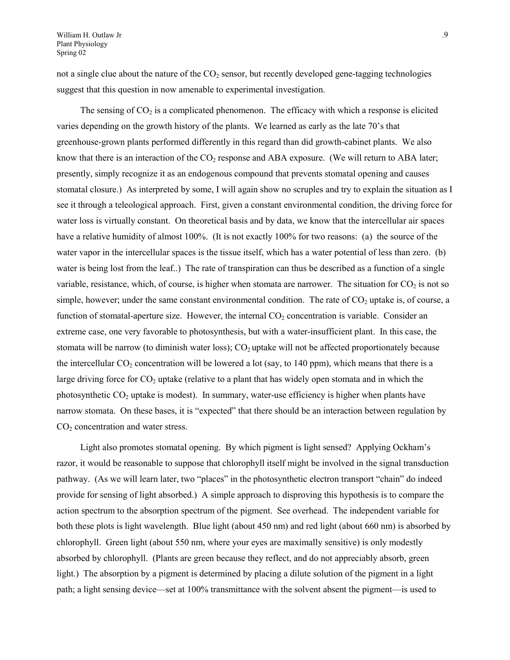William H. Outlaw Jr .9 Plant Physiology Spring 02

not a single clue about the nature of the  $CO<sub>2</sub>$  sensor, but recently developed gene-tagging technologies suggest that this question in now amenable to experimental investigation.

The sensing of  $CO<sub>2</sub>$  is a complicated phenomenon. The efficacy with which a response is elicited varies depending on the growth history of the plants. We learned as early as the late 70's that greenhouse-grown plants performed differently in this regard than did growth-cabinet plants. We also know that there is an interaction of the  $CO<sub>2</sub>$  response and ABA exposure. (We will return to ABA later; presently, simply recognize it as an endogenous compound that prevents stomatal opening and causes stomatal closure.) As interpreted by some, I will again show no scruples and try to explain the situation as I see it through a teleological approach. First, given a constant environmental condition, the driving force for water loss is virtually constant. On theoretical basis and by data, we know that the intercellular air spaces have a relative humidity of almost 100%. (It is not exactly 100% for two reasons: (a) the source of the water vapor in the intercellular spaces is the tissue itself, which has a water potential of less than zero. (b) water is being lost from the leaf..) The rate of transpiration can thus be described as a function of a single variable, resistance, which, of course, is higher when stomata are narrower. The situation for  $CO<sub>2</sub>$  is not so simple, however; under the same constant environmental condition. The rate of  $CO<sub>2</sub>$  uptake is, of course, a function of stomatal-aperture size. However, the internal  $CO<sub>2</sub>$  concentration is variable. Consider an extreme case, one very favorable to photosynthesis, but with a water-insufficient plant. In this case, the stomata will be narrow (to diminish water loss);  $CO<sub>2</sub>$  uptake will not be affected proportionately because the intercellular  $CO_2$  concentration will be lowered a lot (say, to 140 ppm), which means that there is a large driving force for  $CO<sub>2</sub>$  uptake (relative to a plant that has widely open stomata and in which the photosynthetic  $CO<sub>2</sub>$  uptake is modest). In summary, water-use efficiency is higher when plants have narrow stomata. On these bases, it is "expected" that there should be an interaction between regulation by  $CO<sub>2</sub>$  concentration and water stress.

Light also promotes stomatal opening. By which pigment is light sensed? Applying Ockham's razor, it would be reasonable to suppose that chlorophyll itself might be involved in the signal transduction pathway. (As we will learn later, two "places" in the photosynthetic electron transport "chain" do indeed provide for sensing of light absorbed.) A simple approach to disproving this hypothesis is to compare the action spectrum to the absorption spectrum of the pigment. See overhead. The independent variable for both these plots is light wavelength. Blue light (about 450 nm) and red light (about 660 nm) is absorbed by chlorophyll. Green light (about 550 nm, where your eyes are maximally sensitive) is only modestly absorbed by chlorophyll. (Plants are green because they reflect, and do not appreciably absorb, green light.) The absorption by a pigment is determined by placing a dilute solution of the pigment in a light path; a light sensing device—set at 100% transmittance with the solvent absent the pigment—is used to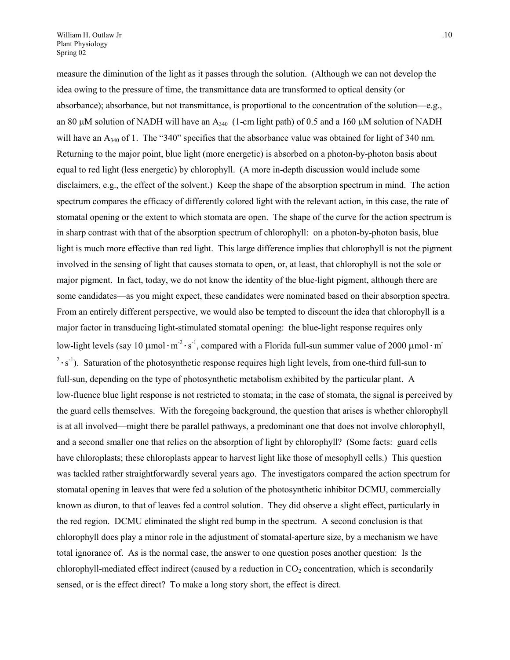measure the diminution of the light as it passes through the solution. (Although we can not develop the idea owing to the pressure of time, the transmittance data are transformed to optical density (or absorbance); absorbance, but not transmittance, is proportional to the concentration of the solution—e.g., an 80  $\mu$ M solution of NADH will have an A<sub>340</sub> (1-cm light path) of 0.5 and a 160  $\mu$ M solution of NADH will have an A<sub>340</sub> of 1. The "340" specifies that the absorbance value was obtained for light of 340 nm. Returning to the major point, blue light (more energetic) is absorbed on a photon-by-photon basis about equal to red light (less energetic) by chlorophyll. (A more in-depth discussion would include some disclaimers, e.g., the effect of the solvent.) Keep the shape of the absorption spectrum in mind. The action spectrum compares the efficacy of differently colored light with the relevant action, in this case, the rate of stomatal opening or the extent to which stomata are open. The shape of the curve for the action spectrum is in sharp contrast with that of the absorption spectrum of chlorophyll: on a photon-by-photon basis, blue light is much more effective than red light. This large difference implies that chlorophyll is not the pigment involved in the sensing of light that causes stomata to open, or, at least, that chlorophyll is not the sole or major pigment. In fact, today, we do not know the identity of the blue-light pigment, although there are some candidates—as you might expect, these candidates were nominated based on their absorption spectra. From an entirely different perspective, we would also be tempted to discount the idea that chlorophyll is a major factor in transducing light-stimulated stomatal opening: the blue-light response requires only low-light levels (say 10  $\mu$ mol·m<sup>-2</sup>·s<sup>-1</sup>, compared with a Florida full-sun summer value of 2000  $\mu$ mol·m<sup>-</sup>  $2 \cdot s^{-1}$ ). Saturation of the photosynthetic response requires high light levels, from one-third full-sun to full-sun, depending on the type of photosynthetic metabolism exhibited by the particular plant. A low-fluence blue light response is not restricted to stomata; in the case of stomata, the signal is perceived by the guard cells themselves. With the foregoing background, the question that arises is whether chlorophyll is at all involved—might there be parallel pathways, a predominant one that does not involve chlorophyll, and a second smaller one that relies on the absorption of light by chlorophyll? (Some facts: guard cells have chloroplasts; these chloroplasts appear to harvest light like those of mesophyll cells.) This question was tackled rather straightforwardly several years ago. The investigators compared the action spectrum for stomatal opening in leaves that were fed a solution of the photosynthetic inhibitor DCMU, commercially known as diuron, to that of leaves fed a control solution. They did observe a slight effect, particularly in the red region. DCMU eliminated the slight red bump in the spectrum. A second conclusion is that chlorophyll does play a minor role in the adjustment of stomatal-aperture size, by a mechanism we have total ignorance of. As is the normal case, the answer to one question poses another question: Is the chlorophyll-mediated effect indirect (caused by a reduction in  $CO<sub>2</sub>$  concentration, which is secondarily sensed, or is the effect direct? To make a long story short, the effect is direct.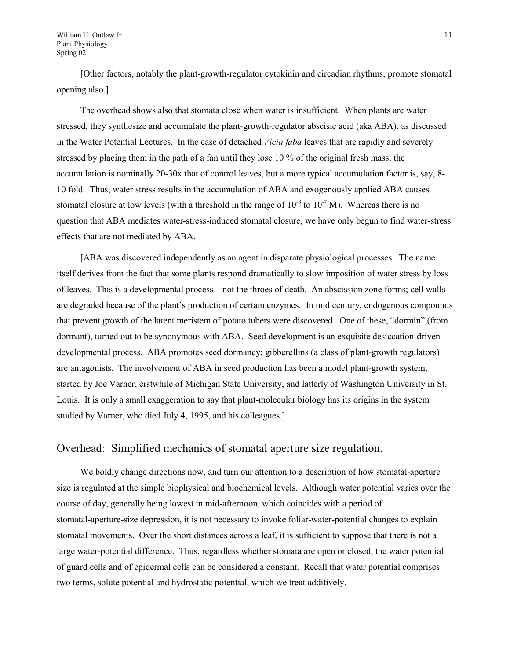William H. Outlaw Jr ... 11 Plant Physiology Spring 02

[Other factors, notably the plant-growth-regulator cytokinin and circadian rhythms, promote stomatal opening also.]

The overhead shows also that stomata close when water is insufficient. When plants are water stressed, they synthesize and accumulate the plant-growth-regulator abscisic acid (aka ABA), as discussed in the Water Potential Lectures. In the case of detached *Vicia faba* leaves that are rapidly and severely stressed by placing them in the path of a fan until they lose 10 % of the original fresh mass, the accumulation is nominally 20-30x that of control leaves, but a more typical accumulation factor is, say, 8- 10 fold. Thus, water stress results in the accumulation of ABA and exogenously applied ABA causes stomatal closure at low levels (with a threshold in the range of  $10^{-8}$  to  $10^{-7}$  M). Whereas there is no question that ABA mediates water-stress-induced stomatal closure, we have only begun to find water-stress effects that are not mediated by ABA.

[ABA was discovered independently as an agent in disparate physiological processes. The name itself derives from the fact that some plants respond dramatically to slow imposition of water stress by loss of leaves. This is a developmental process—not the throes of death. An abscission zone forms; cell walls are degraded because of the plant's production of certain enzymes. In mid century, endogenous compounds that prevent growth of the latent meristem of potato tubers were discovered. One of these, "dormin" (from dormant), turned out to be synonymous with ABA. Seed development is an exquisite desiccation-driven developmental process. ABA promotes seed dormancy; gibberellins (a class of plant-growth regulators) are antagonists. The involvement of ABA in seed production has been a model plant-growth system, started by Joe Varner, erstwhile of Michigan State University, and latterly of Washington University in St. Louis. It is only a small exaggeration to say that plant-molecular biology has its origins in the system studied by Varner, who died July 4, 1995, and his colleagues.]

### Overhead: Simplified mechanics of stomatal aperture size regulation.

We boldly change directions now, and turn our attention to a description of how stomatal-aperture size is regulated at the simple biophysical and biochemical levels. Although water potential varies over the course of day, generally being lowest in mid-afternoon, which coincides with a period of stomatal-aperture-size depression, it is not necessary to invoke foliar-water-potential changes to explain stomatal movements. Over the short distances across a leaf, it is sufficient to suppose that there is not a large water-potential difference. Thus, regardless whether stomata are open or closed, the water potential of guard cells and of epidermal cells can be considered a constant. Recall that water potential comprises two terms, solute potential and hydrostatic potential, which we treat additively.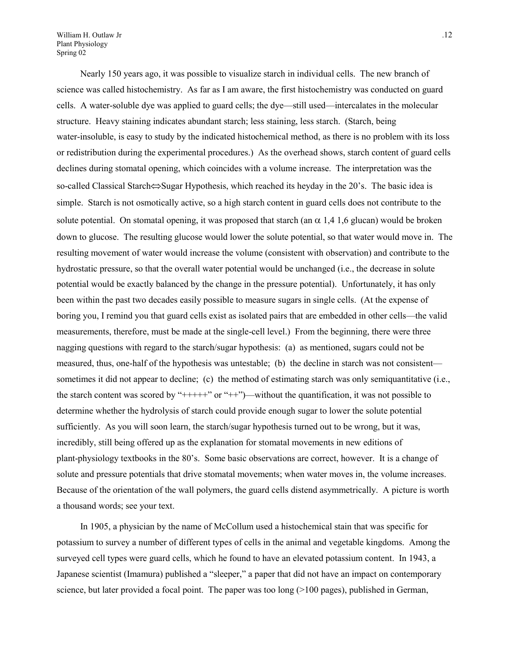William H. Outlaw Jr ... 12 Plant Physiology Spring 02

Nearly 150 years ago, it was possible to visualize starch in individual cells. The new branch of science was called histochemistry. As far as I am aware, the first histochemistry was conducted on guard cells. A water-soluble dye was applied to guard cells; the dye—still used—intercalates in the molecular structure. Heavy staining indicates abundant starch; less staining, less starch. (Starch, being water-insoluble, is easy to study by the indicated histochemical method, as there is no problem with its loss or redistribution during the experimental procedures.) As the overhead shows, starch content of guard cells declines during stomatal opening, which coincides with a volume increase. The interpretation was the so-called Classical Starch $\Leftrightarrow$ Sugar Hypothesis, which reached its heyday in the 20's. The basic idea is simple. Starch is not osmotically active, so a high starch content in guard cells does not contribute to the solute potential. On stomatal opening, it was proposed that starch (an  $\alpha$  1,4 1,6 glucan) would be broken down to glucose. The resulting glucose would lower the solute potential, so that water would move in. The resulting movement of water would increase the volume (consistent with observation) and contribute to the hydrostatic pressure, so that the overall water potential would be unchanged (i.e., the decrease in solute potential would be exactly balanced by the change in the pressure potential). Unfortunately, it has only been within the past two decades easily possible to measure sugars in single cells. (At the expense of boring you, I remind you that guard cells exist as isolated pairs that are embedded in other cells—the valid measurements, therefore, must be made at the single-cell level.) From the beginning, there were three nagging questions with regard to the starch/sugar hypothesis: (a) as mentioned, sugars could not be measured, thus, one-half of the hypothesis was untestable; (b) the decline in starch was not consistent sometimes it did not appear to decline; (c) the method of estimating starch was only semiquantitative (i.e., the starch content was scored by "+++++" or "++")—without the quantification, it was not possible to determine whether the hydrolysis of starch could provide enough sugar to lower the solute potential sufficiently. As you will soon learn, the starch/sugar hypothesis turned out to be wrong, but it was, incredibly, still being offered up as the explanation for stomatal movements in new editions of plant-physiology textbooks in the 80's. Some basic observations are correct, however. It is a change of solute and pressure potentials that drive stomatal movements; when water moves in, the volume increases. Because of the orientation of the wall polymers, the guard cells distend asymmetrically. A picture is worth a thousand words; see your text.

In 1905, a physician by the name of McCollum used a histochemical stain that was specific for potassium to survey a number of different types of cells in the animal and vegetable kingdoms. Among the surveyed cell types were guard cells, which he found to have an elevated potassium content. In 1943, a Japanese scientist (Imamura) published a "sleeper," a paper that did not have an impact on contemporary science, but later provided a focal point. The paper was too long  $(>100 \text{ pages})$ , published in German,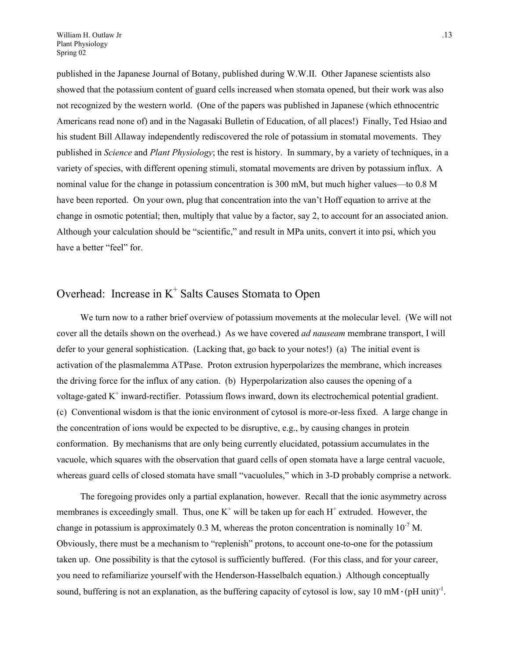published in the Japanese Journal of Botany, published during W.W.II. Other Japanese scientists also showed that the potassium content of guard cells increased when stomata opened, but their work was also not recognized by the western world. (One of the papers was published in Japanese (which ethnocentric Americans read none of) and in the Nagasaki Bulletin of Education, of all places!) Finally, Ted Hsiao and his student Bill Allaway independently rediscovered the role of potassium in stomatal movements. They published in *Science* and *Plant Physiology*; the rest is history. In summary, by a variety of techniques, in a variety of species, with different opening stimuli, stomatal movements are driven by potassium influx. A nominal value for the change in potassium concentration is 300 mM, but much higher values—to 0.8 M have been reported. On your own, plug that concentration into the van't Hoff equation to arrive at the change in osmotic potential; then, multiply that value by a factor, say 2, to account for an associated anion. Although your calculation should be "scientific," and result in MPa units, convert it into psi, which you have a better "feel" for.

# Overhead: Increase in  $K^+$  Salts Causes Stomata to Open

We turn now to a rather brief overview of potassium movements at the molecular level. (We will not cover all the details shown on the overhead.) As we have covered *ad nauseam* membrane transport, I will defer to your general sophistication. (Lacking that, go back to your notes!) (a) The initial event is activation of the plasmalemma ATPase. Proton extrusion hyperpolarizes the membrane, which increases the driving force for the influx of any cation. (b) Hyperpolarization also causes the opening of a voltage-gated K<sup>+</sup> inward-rectifier. Potassium flows inward, down its electrochemical potential gradient. (c) Conventional wisdom is that the ionic environment of cytosol is more-or-less fixed. A large change in the concentration of ions would be expected to be disruptive, e.g., by causing changes in protein conformation. By mechanisms that are only being currently elucidated, potassium accumulates in the vacuole, which squares with the observation that guard cells of open stomata have a large central vacuole, whereas guard cells of closed stomata have small "vacuolules," which in 3-D probably comprise a network.

The foregoing provides only a partial explanation, however. Recall that the ionic asymmetry across membranes is exceedingly small. Thus, one  $K^+$  will be taken up for each  $H^+$  extruded. However, the change in potassium is approximately 0.3 M, whereas the proton concentration is nominally  $10^{-7}$  M. Obviously, there must be a mechanism to "replenish" protons, to account one-to-one for the potassium taken up. One possibility is that the cytosol is sufficiently buffered. (For this class, and for your career, you need to refamiliarize yourself with the Henderson-Hasselbalch equation.) Although conceptually sound, buffering is not an explanation, as the buffering capacity of cytosol is low, say 10 mM $\cdot$ (pH unit)<sup>-1</sup>.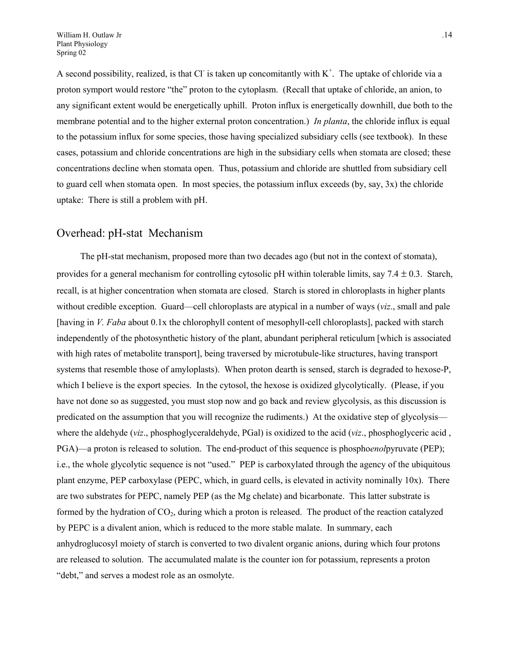A second possibility, realized, is that Cl is taken up concomitantly with  $K^+$ . The uptake of chloride via a proton symport would restore "the" proton to the cytoplasm. (Recall that uptake of chloride, an anion, to any significant extent would be energetically uphill. Proton influx is energetically downhill, due both to the membrane potential and to the higher external proton concentration.) *In planta*, the chloride influx is equal to the potassium influx for some species, those having specialized subsidiary cells (see textbook). In these cases, potassium and chloride concentrations are high in the subsidiary cells when stomata are closed; these concentrations decline when stomata open. Thus, potassium and chloride are shuttled from subsidiary cell to guard cell when stomata open. In most species, the potassium influx exceeds (by, say, 3x) the chloride uptake: There is still a problem with pH.

## Overhead: pH-stat Mechanism

The pH-stat mechanism, proposed more than two decades ago (but not in the context of stomata), provides for a general mechanism for controlling cytosolic pH within tolerable limits, say  $7.4 \pm 0.3$ . Starch, recall, is at higher concentration when stomata are closed. Starch is stored in chloroplasts in higher plants without credible exception. Guard—cell chloroplasts are atypical in a number of ways (*viz*., small and pale [having in *V. Faba* about 0.1x the chlorophyll content of mesophyll-cell chloroplasts], packed with starch independently of the photosynthetic history of the plant, abundant peripheral reticulum [which is associated with high rates of metabolite transport], being traversed by microtubule-like structures, having transport systems that resemble those of amyloplasts). When proton dearth is sensed, starch is degraded to hexose-P, which I believe is the export species. In the cytosol, the hexose is oxidized glycolytically. (Please, if you have not done so as suggested, you must stop now and go back and review glycolysis, as this discussion is predicated on the assumption that you will recognize the rudiments.) At the oxidative step of glycolysis where the aldehyde (*viz*., phosphoglyceraldehyde, PGal) is oxidized to the acid (*viz*., phosphoglyceric acid , PGA)—a proton is released to solution. The end-product of this sequence is phospho*enol*pyruvate (PEP); i.e., the whole glycolytic sequence is not "used." PEP is carboxylated through the agency of the ubiquitous plant enzyme, PEP carboxylase (PEPC, which, in guard cells, is elevated in activity nominally 10x). There are two substrates for PEPC, namely PEP (as the Mg chelate) and bicarbonate. This latter substrate is formed by the hydration of  $CO<sub>2</sub>$ , during which a proton is released. The product of the reaction catalyzed by PEPC is a divalent anion, which is reduced to the more stable malate. In summary, each anhydroglucosyl moiety of starch is converted to two divalent organic anions, during which four protons are released to solution. The accumulated malate is the counter ion for potassium, represents a proton "debt," and serves a modest role as an osmolyte.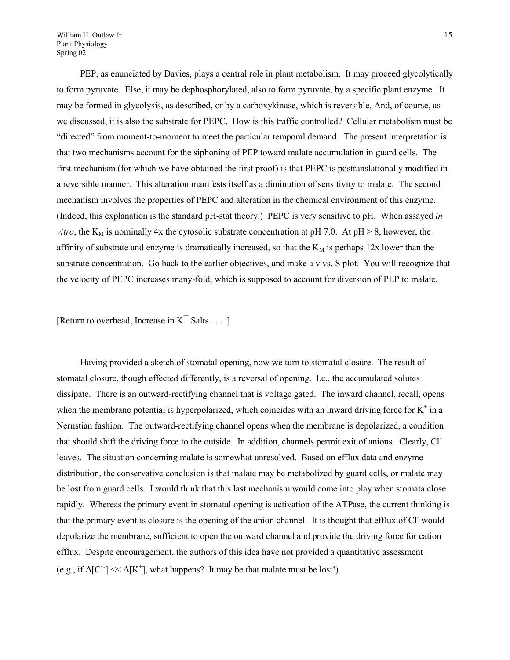William H. Outlaw Jr ... 15 Plant Physiology Spring 02

PEP, as enunciated by Davies, plays a central role in plant metabolism. It may proceed glycolytically to form pyruvate. Else, it may be dephosphorylated, also to form pyruvate, by a specific plant enzyme. It may be formed in glycolysis, as described, or by a carboxykinase, which is reversible. And, of course, as we discussed, it is also the substrate for PEPC. How is this traffic controlled? Cellular metabolism must be "directed" from moment-to-moment to meet the particular temporal demand. The present interpretation is that two mechanisms account for the siphoning of PEP toward malate accumulation in guard cells. The first mechanism (for which we have obtained the first proof) is that PEPC is postranslationally modified in a reversible manner. This alteration manifests itself as a diminution of sensitivity to malate. The second mechanism involves the properties of PEPC and alteration in the chemical environment of this enzyme. (Indeed, this explanation is the standard pH-stat theory.) PEPC is very sensitive to pH. When assayed *in vitro*, the  $K_M$  is nominally 4x the cytosolic substrate concentration at pH 7.0. At pH > 8, however, the affinity of substrate and enzyme is dramatically increased, so that the  $K_M$  is perhaps 12x lower than the substrate concentration. Go back to the earlier objectives, and make a v vs. S plot. You will recognize that the velocity of PEPC increases many-fold, which is supposed to account for diversion of PEP to malate.

[Return to overhead, Increase in  $K^+$  Salts . . . .]

Having provided a sketch of stomatal opening, now we turn to stomatal closure. The result of stomatal closure, though effected differently, is a reversal of opening. I.e., the accumulated solutes dissipate. There is an outward-rectifying channel that is voltage gated. The inward channel, recall, opens when the membrane potential is hyperpolarized, which coincides with an inward driving force for  $K^+$  in a Nernstian fashion. The outward-rectifying channel opens when the membrane is depolarized, a condition that should shift the driving force to the outside. In addition, channels permit exit of anions. Clearly, Clleaves. The situation concerning malate is somewhat unresolved. Based on efflux data and enzyme distribution, the conservative conclusion is that malate may be metabolized by guard cells, or malate may be lost from guard cells. I would think that this last mechanism would come into play when stomata close rapidly. Whereas the primary event in stomatal opening is activation of the ATPase, the current thinking is that the primary event is closure is the opening of the anion channel. It is thought that efflux of Cl would depolarize the membrane, sufficient to open the outward channel and provide the driving force for cation efflux. Despite encouragement, the authors of this idea have not provided a quantitative assessment (e.g., if  $\Delta [CI] \ll \Delta [K^+]$ , what happens? It may be that malate must be lost!)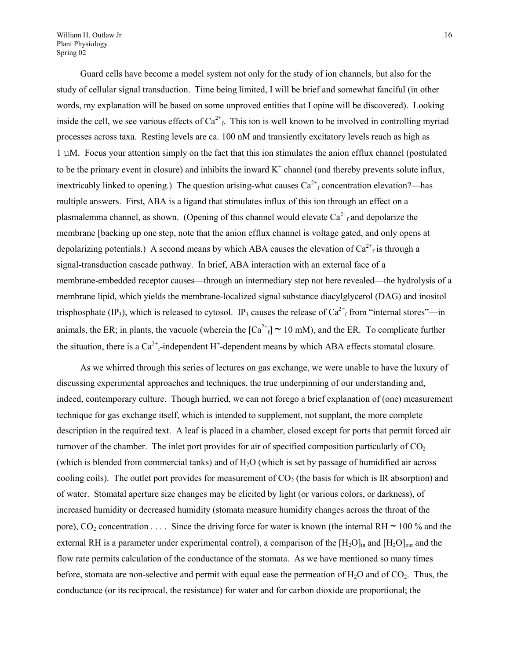William H. Outlaw Jr ... 16 Plant Physiology Spring 02

Guard cells have become a model system not only for the study of ion channels, but also for the study of cellular signal transduction. Time being limited, I will be brief and somewhat fanciful (in other words, my explanation will be based on some unproved entities that I opine will be discovered). Looking inside the cell, we see various effects of  $Ca^{2+}$ . This ion is well known to be involved in controlling myriad processes across taxa. Resting levels are ca. 100 nM and transiently excitatory levels reach as high as 1 µM. Focus your attention simply on the fact that this ion stimulates the anion efflux channel (postulated to be the primary event in closure) and inhibits the inward  $K^+$  channel (and thereby prevents solute influx, inextricably linked to opening.) The question arising-what causes  $Ca^{2+}$  concentration elevation?—has multiple answers. First, ABA is a ligand that stimulates influx of this ion through an effect on a plasmalemma channel, as shown. (Opening of this channel would elevate  $Ca^{2+}$  and depolarize the membrane [backing up one step, note that the anion efflux channel is voltage gated, and only opens at depolarizing potentials.) A second means by which ABA causes the elevation of  $Ca^{2+}$ <sub>f</sub> is through a signal-transduction cascade pathway. In brief, ABA interaction with an external face of a membrane-embedded receptor causes—through an intermediary step not here revealed—the hydrolysis of a membrane lipid, which yields the membrane-localized signal substance diacylglycerol (DAG) and inositol trisphosphate (IP<sub>3</sub>), which is released to cytosol. IP<sub>3</sub> causes the release of  $Ca^{2+}$ <sub>f</sub> from "internal stores"—in animals, the ER; in plants, the vacuole (wherein the  $[Ca^{2+}f] \sim 10$  mM), and the ER. To complicate further the situation, there is a  $Ca^{2+}$ -independent H<sup>+</sup>-dependent means by which ABA effects stomatal closure.

As we whirred through this series of lectures on gas exchange, we were unable to have the luxury of discussing experimental approaches and techniques, the true underpinning of our understanding and, indeed, contemporary culture. Though hurried, we can not forego a brief explanation of (one) measurement technique for gas exchange itself, which is intended to supplement, not supplant, the more complete description in the required text. A leaf is placed in a chamber, closed except for ports that permit forced air turnover of the chamber. The inlet port provides for air of specified composition particularly of  $CO<sub>2</sub>$ (which is blended from commercial tanks) and of  $H<sub>2</sub>O$  (which is set by passage of humidified air across cooling coils). The outlet port provides for measurement of  $CO<sub>2</sub>$  (the basis for which is IR absorption) and of water. Stomatal aperture size changes may be elicited by light (or various colors, or darkness), of increased humidity or decreased humidity (stomata measure humidity changes across the throat of the pore),  $CO_2$  concentration . . . . Since the driving force for water is known (the internal RH  $\sim$  100 % and the external RH is a parameter under experimental control), a comparison of the  $[H_2O]_{in}$  and  $[H_2O]_{out}$  and the flow rate permits calculation of the conductance of the stomata. As we have mentioned so many times before, stomata are non-selective and permit with equal ease the permeation of  $H_2O$  and of  $CO_2$ . Thus, the conductance (or its reciprocal, the resistance) for water and for carbon dioxide are proportional; the